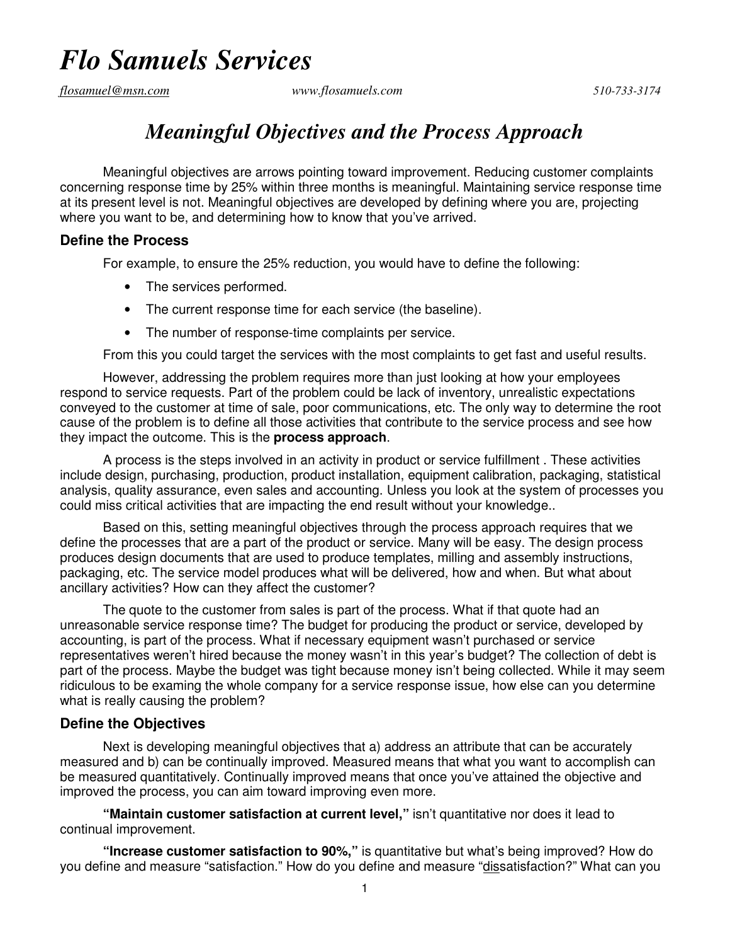# *Flo Samuels Services*

*flosamuel@msn.com www.flosamuels.com 510-733-3174* 

### *Meaningful Objectives and the Process Approach*

Meaningful objectives are arrows pointing toward improvement. Reducing customer complaints concerning response time by 25% within three months is meaningful. Maintaining service response time at its present level is not. Meaningful objectives are developed by defining where you are, projecting where you want to be, and determining how to know that you've arrived.

#### **Define the Process**

For example, to ensure the 25% reduction, you would have to define the following:

- The services performed.
- The current response time for each service (the baseline).
- The number of response-time complaints per service.

From this you could target the services with the most complaints to get fast and useful results.

However, addressing the problem requires more than just looking at how your employees respond to service requests. Part of the problem could be lack of inventory, unrealistic expectations conveyed to the customer at time of sale, poor communications, etc. The only way to determine the root cause of the problem is to define all those activities that contribute to the service process and see how they impact the outcome. This is the **process approach**.

A process is the steps involved in an activity in product or service fulfillment . These activities include design, purchasing, production, product installation, equipment calibration, packaging, statistical analysis, quality assurance, even sales and accounting. Unless you look at the system of processes you could miss critical activities that are impacting the end result without your knowledge..

Based on this, setting meaningful objectives through the process approach requires that we define the processes that are a part of the product or service. Many will be easy. The design process produces design documents that are used to produce templates, milling and assembly instructions, packaging, etc. The service model produces what will be delivered, how and when. But what about ancillary activities? How can they affect the customer?

The quote to the customer from sales is part of the process. What if that quote had an unreasonable service response time? The budget for producing the product or service, developed by accounting, is part of the process. What if necessary equipment wasn't purchased or service representatives weren't hired because the money wasn't in this year's budget? The collection of debt is part of the process. Maybe the budget was tight because money isn't being collected. While it may seem ridiculous to be examing the whole company for a service response issue, how else can you determine what is really causing the problem?

### **Define the Objectives**

Next is developing meaningful objectives that a) address an attribute that can be accurately measured and b) can be continually improved. Measured means that what you want to accomplish can be measured quantitatively. Continually improved means that once you've attained the objective and improved the process, you can aim toward improving even more.

**"Maintain customer satisfaction at current level,"** isn't quantitative nor does it lead to continual improvement.

**"Increase customer satisfaction to 90%,"** is quantitative but what's being improved? How do you define and measure "satisfaction." How do you define and measure "dissatisfaction?" What can you